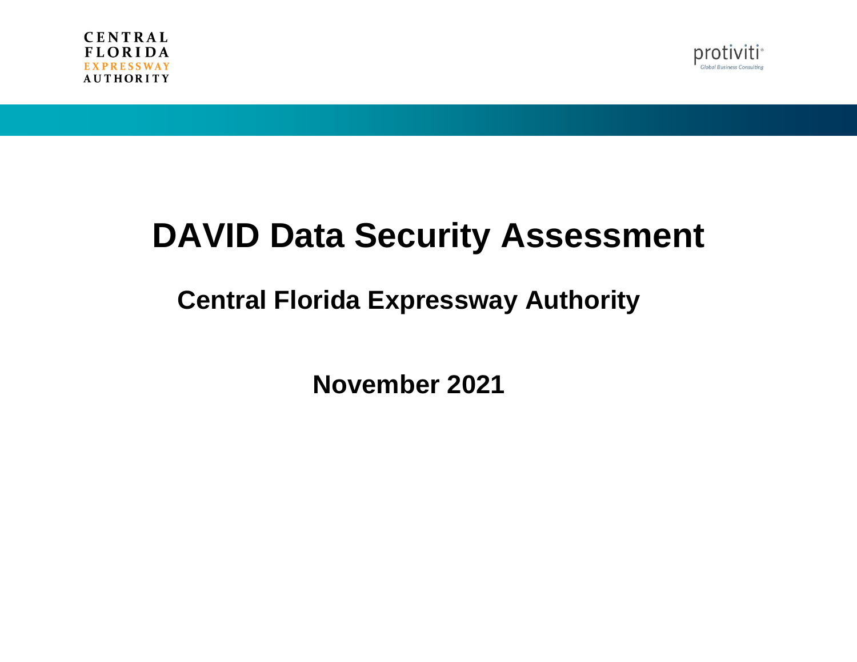



# **DAVID Data Security Assessment**

# **Central Florida Expressway Authority**

**November 2021**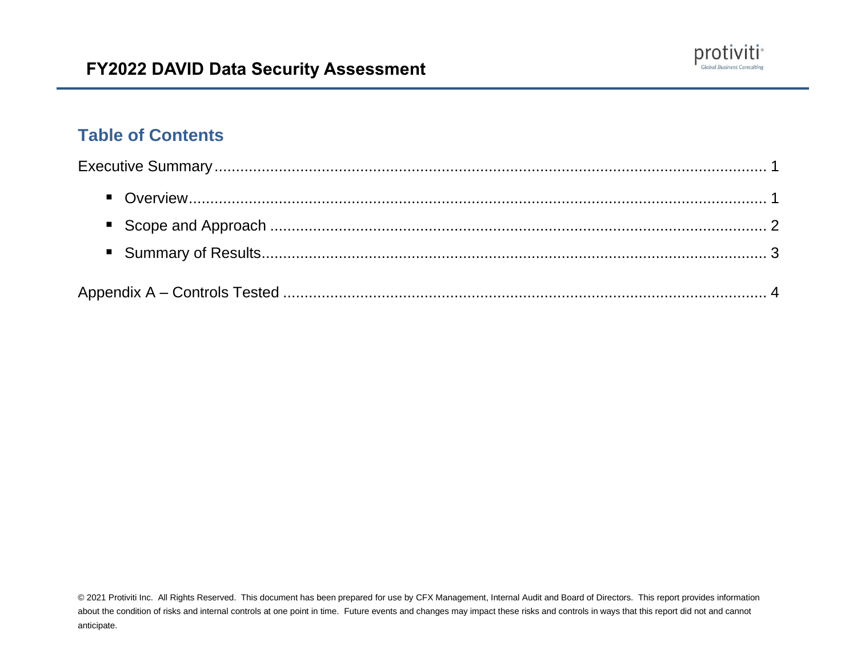

# **Table of Contents**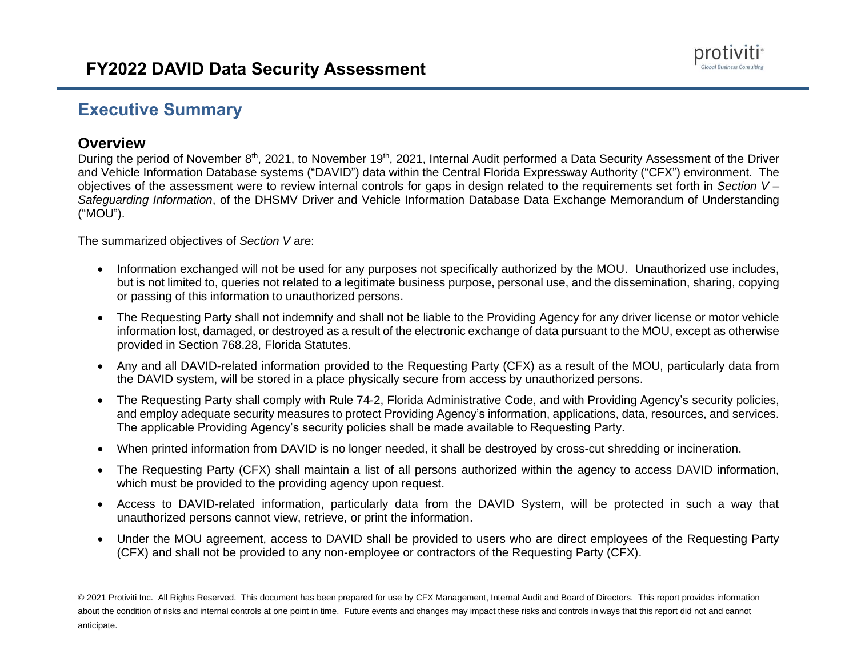### **Executive Summary**

#### **Overview**

During the period of November 8<sup>th</sup>, 2021, to November 19<sup>th</sup>, 2021, Internal Audit performed a Data Security Assessment of the Driver and Vehicle Information Database systems ("DAVID") data within the Central Florida Expressway Authority ("CFX") environment. The objectives of the assessment were to review internal controls for gaps in design related to the requirements set forth in *Section V – Safeguarding Information*, of the DHSMV Driver and Vehicle Information Database Data Exchange Memorandum of Understanding ("MOU").

The summarized objectives of *Section V* are:

- Information exchanged will not be used for any purposes not specifically authorized by the MOU. Unauthorized use includes, but is not limited to, queries not related to a legitimate business purpose, personal use, and the dissemination, sharing, copying or passing of this information to unauthorized persons.
- The Requesting Party shall not indemnify and shall not be liable to the Providing Agency for any driver license or motor vehicle information lost, damaged, or destroyed as a result of the electronic exchange of data pursuant to the MOU, except as otherwise provided in Section 768.28, Florida Statutes.
- Any and all DAVID-related information provided to the Requesting Party (CFX) as a result of the MOU, particularly data from the DAVID system, will be stored in a place physically secure from access by unauthorized persons.
- The Requesting Party shall comply with Rule 74-2, Florida Administrative Code, and with Providing Agency's security policies, and employ adequate security measures to protect Providing Agency's information, applications, data, resources, and services. The applicable Providing Agency's security policies shall be made available to Requesting Party.
- When printed information from DAVID is no longer needed, it shall be destroyed by cross-cut shredding or incineration.
- The Requesting Party (CFX) shall maintain a list of all persons authorized within the agency to access DAVID information, which must be provided to the providing agency upon request.
- Access to DAVID-related information, particularly data from the DAVID System, will be protected in such a way that unauthorized persons cannot view, retrieve, or print the information.
- Under the MOU agreement, access to DAVID shall be provided to users who are direct employees of the Requesting Party (CFX) and shall not be provided to any non-employee or contractors of the Requesting Party (CFX).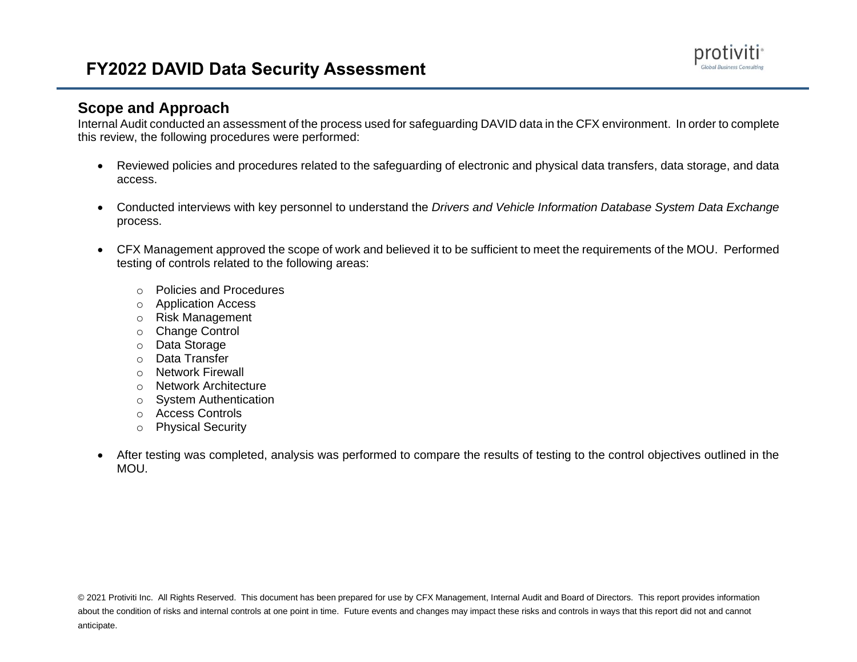#### **Scope and Approach**

Internal Audit conducted an assessment of the process used for safeguarding DAVID data in the CFX environment. In order to complete this review, the following procedures were performed:

- Reviewed policies and procedures related to the safeguarding of electronic and physical data transfers, data storage, and data access.
- Conducted interviews with key personnel to understand the *Drivers and Vehicle Information Database System Data Exchange*  process.
- CFX Management approved the scope of work and believed it to be sufficient to meet the requirements of the MOU. Performed testing of controls related to the following areas:
	- o Policies and Procedures
	- o Application Access
	- o Risk Management
	- o Change Control
	- o Data Storage
	- o Data Transfer
	- o Network Firewall
	- o Network Architecture
	- o System Authentication
	- o Access Controls
	- o Physical Security
- After testing was completed, analysis was performed to compare the results of testing to the control objectives outlined in the MOU.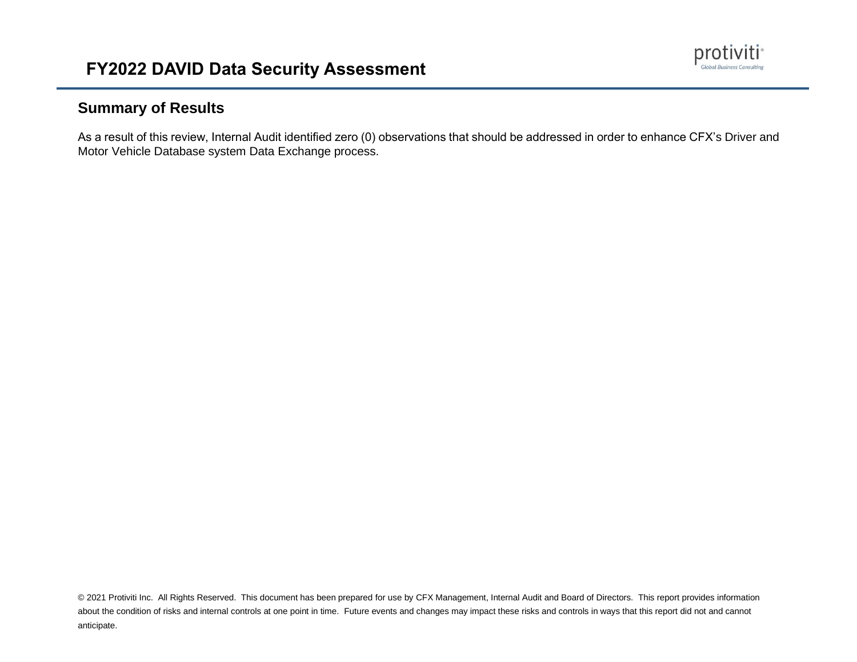

#### **Summary of Results**

As a result of this review, Internal Audit identified zero (0) observations that should be addressed in order to enhance CFX's Driver and Motor Vehicle Database system Data Exchange process.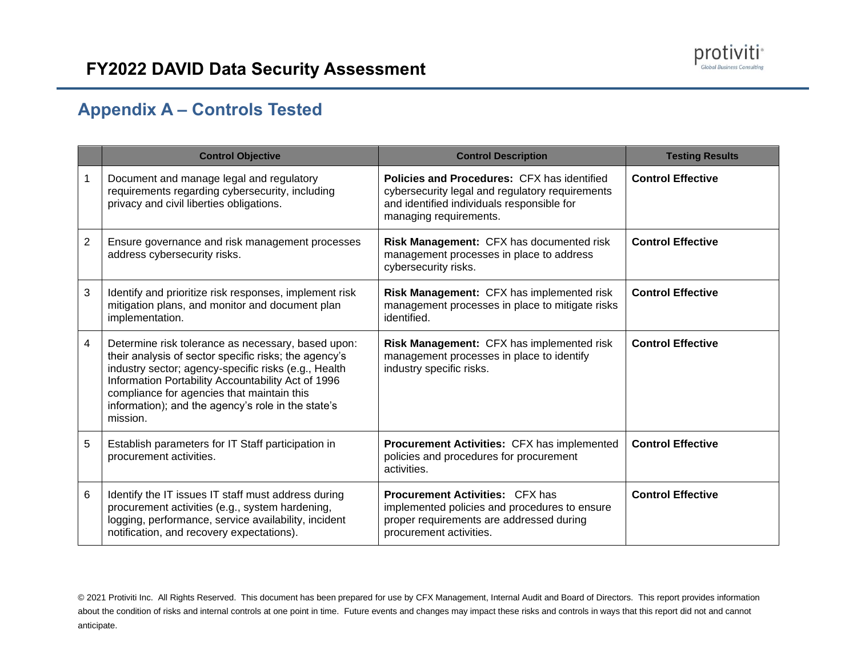# **Appendix A – Controls Tested**

|                | <b>Control Objective</b>                                                                                                                                                                                                                                                                                                                  | <b>Control Description</b>                                                                                                                                                    | <b>Testing Results</b>   |
|----------------|-------------------------------------------------------------------------------------------------------------------------------------------------------------------------------------------------------------------------------------------------------------------------------------------------------------------------------------------|-------------------------------------------------------------------------------------------------------------------------------------------------------------------------------|--------------------------|
| 1              | Document and manage legal and regulatory<br>requirements regarding cybersecurity, including<br>privacy and civil liberties obligations.                                                                                                                                                                                                   | <b>Policies and Procedures: CFX has identified</b><br>cybersecurity legal and regulatory requirements<br>and identified individuals responsible for<br>managing requirements. | <b>Control Effective</b> |
| $\overline{c}$ | Ensure governance and risk management processes<br>address cybersecurity risks.                                                                                                                                                                                                                                                           | Risk Management: CFX has documented risk<br>management processes in place to address<br>cybersecurity risks.                                                                  | <b>Control Effective</b> |
| 3              | Identify and prioritize risk responses, implement risk<br>mitigation plans, and monitor and document plan<br>implementation.                                                                                                                                                                                                              | Risk Management: CFX has implemented risk<br>management processes in place to mitigate risks<br>identified.                                                                   | <b>Control Effective</b> |
| 4              | Determine risk tolerance as necessary, based upon:<br>their analysis of sector specific risks; the agency's<br>industry sector; agency-specific risks (e.g., Health<br>Information Portability Accountability Act of 1996<br>compliance for agencies that maintain this<br>information); and the agency's role in the state's<br>mission. | Risk Management: CFX has implemented risk<br>management processes in place to identify<br>industry specific risks.                                                            | <b>Control Effective</b> |
| 5              | Establish parameters for IT Staff participation in<br>procurement activities.                                                                                                                                                                                                                                                             | Procurement Activities: CFX has implemented<br>policies and procedures for procurement<br>activities.                                                                         | <b>Control Effective</b> |
| 6              | Identify the IT issues IT staff must address during<br>procurement activities (e.g., system hardening,<br>logging, performance, service availability, incident<br>notification, and recovery expectations).                                                                                                                               | <b>Procurement Activities: CFX has</b><br>implemented policies and procedures to ensure<br>proper requirements are addressed during<br>procurement activities.                | <b>Control Effective</b> |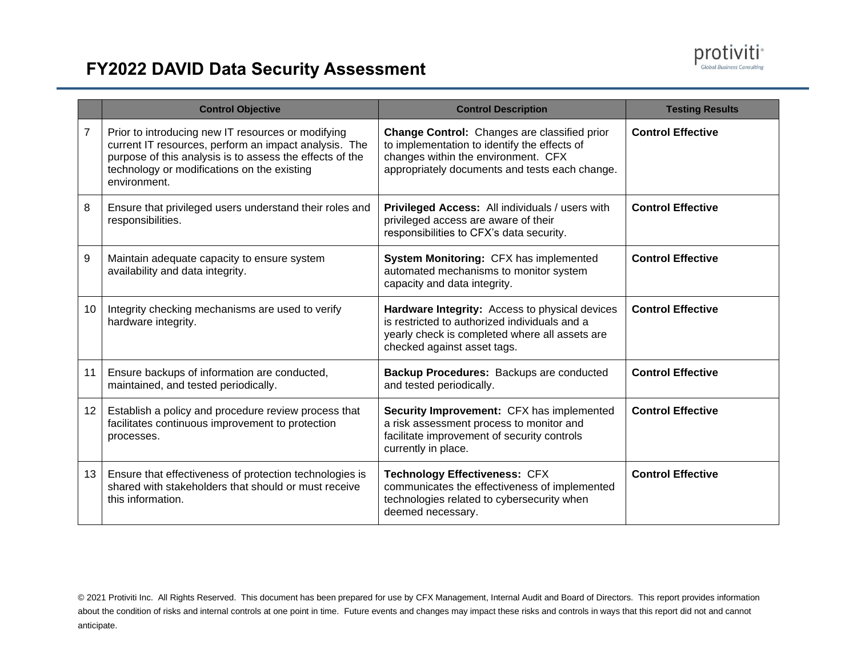

|                 | <b>Control Objective</b>                                                                                                                                                                                                               | <b>Control Description</b>                                                                                                                                                            | <b>Testing Results</b>   |
|-----------------|----------------------------------------------------------------------------------------------------------------------------------------------------------------------------------------------------------------------------------------|---------------------------------------------------------------------------------------------------------------------------------------------------------------------------------------|--------------------------|
| 7               | Prior to introducing new IT resources or modifying<br>current IT resources, perform an impact analysis. The<br>purpose of this analysis is to assess the effects of the<br>technology or modifications on the existing<br>environment. | Change Control: Changes are classified prior<br>to implementation to identify the effects of<br>changes within the environment. CFX<br>appropriately documents and tests each change. | <b>Control Effective</b> |
| 8               | Ensure that privileged users understand their roles and<br>responsibilities.                                                                                                                                                           | Privileged Access: All individuals / users with<br>privileged access are aware of their<br>responsibilities to CFX's data security.                                                   | <b>Control Effective</b> |
| 9               | Maintain adequate capacity to ensure system<br>availability and data integrity.                                                                                                                                                        | System Monitoring: CFX has implemented<br>automated mechanisms to monitor system<br>capacity and data integrity.                                                                      | <b>Control Effective</b> |
| 10              | Integrity checking mechanisms are used to verify<br>hardware integrity.                                                                                                                                                                | Hardware Integrity: Access to physical devices<br>is restricted to authorized individuals and a<br>yearly check is completed where all assets are<br>checked against asset tags.      | <b>Control Effective</b> |
| 11              | Ensure backups of information are conducted,<br>maintained, and tested periodically.                                                                                                                                                   | Backup Procedures: Backups are conducted<br>and tested periodically.                                                                                                                  | <b>Control Effective</b> |
| 12 <sup>7</sup> | Establish a policy and procedure review process that<br>facilitates continuous improvement to protection<br>processes.                                                                                                                 | Security Improvement: CFX has implemented<br>a risk assessment process to monitor and<br>facilitate improvement of security controls<br>currently in place.                           | <b>Control Effective</b> |
| 13 <sup>1</sup> | Ensure that effectiveness of protection technologies is<br>shared with stakeholders that should or must receive<br>this information.                                                                                                   | <b>Technology Effectiveness: CFX</b><br>communicates the effectiveness of implemented<br>technologies related to cybersecurity when<br>deemed necessary.                              | <b>Control Effective</b> |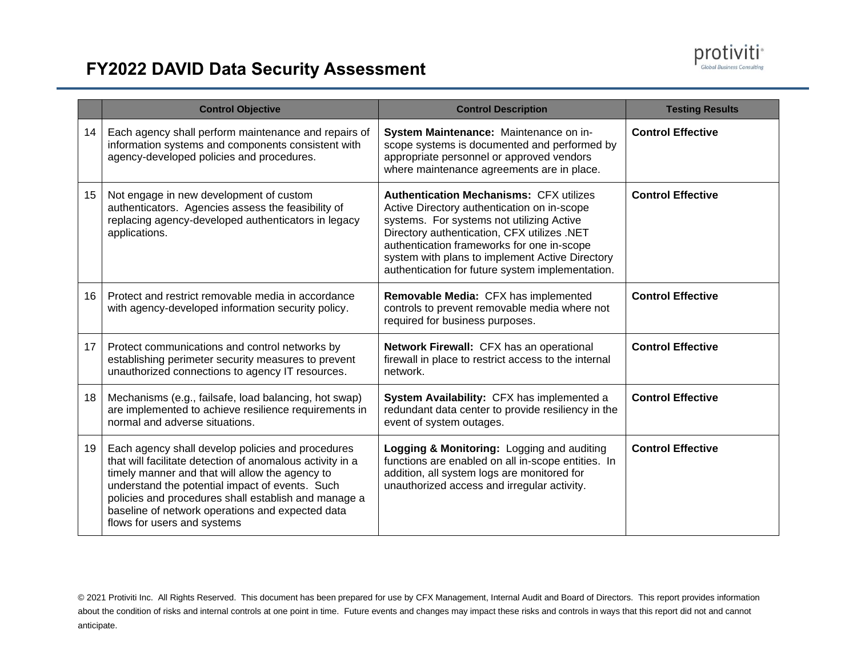

|                 | <b>Control Objective</b>                                                                                                                                                                                                                                                                                                                                        | <b>Control Description</b>                                                                                                                                                                                                                                                                                                                     | <b>Testing Results</b>   |
|-----------------|-----------------------------------------------------------------------------------------------------------------------------------------------------------------------------------------------------------------------------------------------------------------------------------------------------------------------------------------------------------------|------------------------------------------------------------------------------------------------------------------------------------------------------------------------------------------------------------------------------------------------------------------------------------------------------------------------------------------------|--------------------------|
| 14              | Each agency shall perform maintenance and repairs of<br>information systems and components consistent with<br>agency-developed policies and procedures.                                                                                                                                                                                                         | System Maintenance: Maintenance on in-<br>scope systems is documented and performed by<br>appropriate personnel or approved vendors<br>where maintenance agreements are in place.                                                                                                                                                              | <b>Control Effective</b> |
| 15              | Not engage in new development of custom<br>authenticators. Agencies assess the feasibility of<br>replacing agency-developed authenticators in legacy<br>applications.                                                                                                                                                                                           | <b>Authentication Mechanisms: CFX utilizes</b><br>Active Directory authentication on in-scope<br>systems. For systems not utilizing Active<br>Directory authentication, CFX utilizes .NET<br>authentication frameworks for one in-scope<br>system with plans to implement Active Directory<br>authentication for future system implementation. | <b>Control Effective</b> |
| 16              | Protect and restrict removable media in accordance<br>with agency-developed information security policy.                                                                                                                                                                                                                                                        | Removable Media: CFX has implemented<br>controls to prevent removable media where not<br>required for business purposes.                                                                                                                                                                                                                       | <b>Control Effective</b> |
| 17 <sup>2</sup> | Protect communications and control networks by<br>establishing perimeter security measures to prevent<br>unauthorized connections to agency IT resources.                                                                                                                                                                                                       | Network Firewall: CFX has an operational<br>firewall in place to restrict access to the internal<br>network.                                                                                                                                                                                                                                   | <b>Control Effective</b> |
| 18              | Mechanisms (e.g., failsafe, load balancing, hot swap)<br>are implemented to achieve resilience requirements in<br>normal and adverse situations.                                                                                                                                                                                                                | System Availability: CFX has implemented a<br>redundant data center to provide resiliency in the<br>event of system outages.                                                                                                                                                                                                                   | <b>Control Effective</b> |
| 19              | Each agency shall develop policies and procedures<br>that will facilitate detection of anomalous activity in a<br>timely manner and that will allow the agency to<br>understand the potential impact of events. Such<br>policies and procedures shall establish and manage a<br>baseline of network operations and expected data<br>flows for users and systems | Logging & Monitoring: Logging and auditing<br>functions are enabled on all in-scope entities. In<br>addition, all system logs are monitored for<br>unauthorized access and irregular activity.                                                                                                                                                 | <b>Control Effective</b> |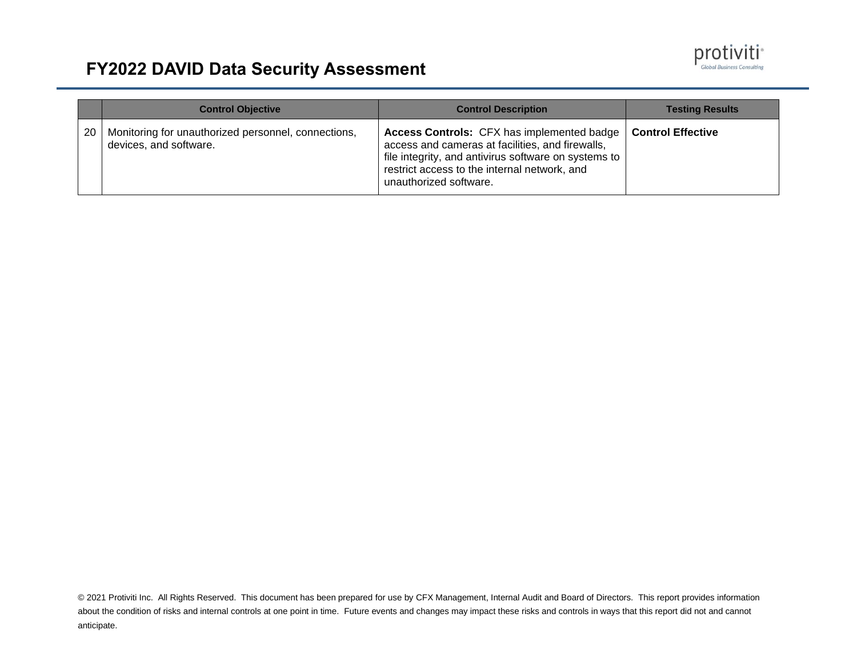

|    | <b>Control Objective</b>                                                      | <b>Control Description</b>                                                                                                                                                                                                       | <b>Testing Results</b>   |
|----|-------------------------------------------------------------------------------|----------------------------------------------------------------------------------------------------------------------------------------------------------------------------------------------------------------------------------|--------------------------|
| 20 | Monitoring for unauthorized personnel, connections,<br>devices, and software. | Access Controls: CFX has implemented badge<br>access and cameras at facilities, and firewalls,<br>file integrity, and antivirus software on systems to<br>restrict access to the internal network, and<br>unauthorized software. | <b>Control Effective</b> |